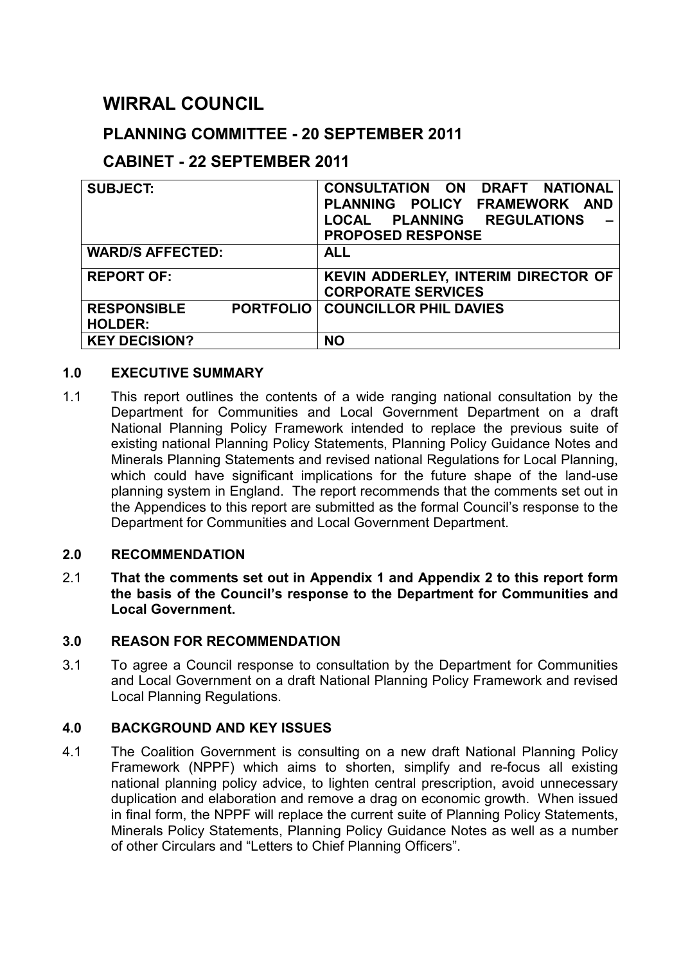# **WIRRAL COUNCIL**

# **PLANNING COMMITTEE - 20 SEPTEMBER 2011**

# **CABINET - 22 SEPTEMBER 2011**

| <b>SUBJECT:</b>                        | <b>CONSULTATION ON</b><br>DRAFT NATIONAL<br>PLANNING POLICY<br><b>FRAMEWORK AND</b><br>LOCAL PLANNING<br><b>REGULATIONS</b><br><b>PROPOSED RESPONSE</b> |
|----------------------------------------|---------------------------------------------------------------------------------------------------------------------------------------------------------|
| <b>WARD/S AFFECTED:</b>                | <b>ALL</b>                                                                                                                                              |
| <b>REPORT OF:</b>                      | KEVIN ADDERLEY, INTERIM DIRECTOR OF<br><b>CORPORATE SERVICES</b>                                                                                        |
| <b>PORTFOLIO</b><br><b>RESPONSIBLE</b> | <b>COUNCILLOR PHIL DAVIES</b>                                                                                                                           |
| <b>HOLDER:</b>                         |                                                                                                                                                         |
| <b>KEY DECISION?</b>                   | <b>NO</b>                                                                                                                                               |

### **1.0 EXECUTIVE SUMMARY**

1.1 This report outlines the contents of a wide ranging national consultation by the Department for Communities and Local Government Department on a draft National Planning Policy Framework intended to replace the previous suite of existing national Planning Policy Statements, Planning Policy Guidance Notes and Minerals Planning Statements and revised national Regulations for Local Planning, which could have significant implications for the future shape of the land-use planning system in England. The report recommends that the comments set out in the Appendices to this report are submitted as the formal Council's response to the Department for Communities and Local Government Department.

### **2.0 RECOMMENDATION**

2.1 **That the comments set out in Appendix 1 and Appendix 2 to this report form the basis of the Council's response to the Department for Communities and Local Government.**

### **3.0 REASON FOR RECOMMENDATION**

3.1 To agree a Council response to consultation by the Department for Communities and Local Government on a draft National Planning Policy Framework and revised Local Planning Regulations.

# **4.0 BACKGROUND AND KEY ISSUES**

4.1 The Coalition Government is consulting on a new draft National Planning Policy Framework (NPPF) which aims to shorten, simplify and re-focus all existing national planning policy advice, to lighten central prescription, avoid unnecessary duplication and elaboration and remove a drag on economic growth. When issued in final form, the NPPF will replace the current suite of Planning Policy Statements, Minerals Policy Statements, Planning Policy Guidance Notes as well as a number of other Circulars and "Letters to Chief Planning Officers".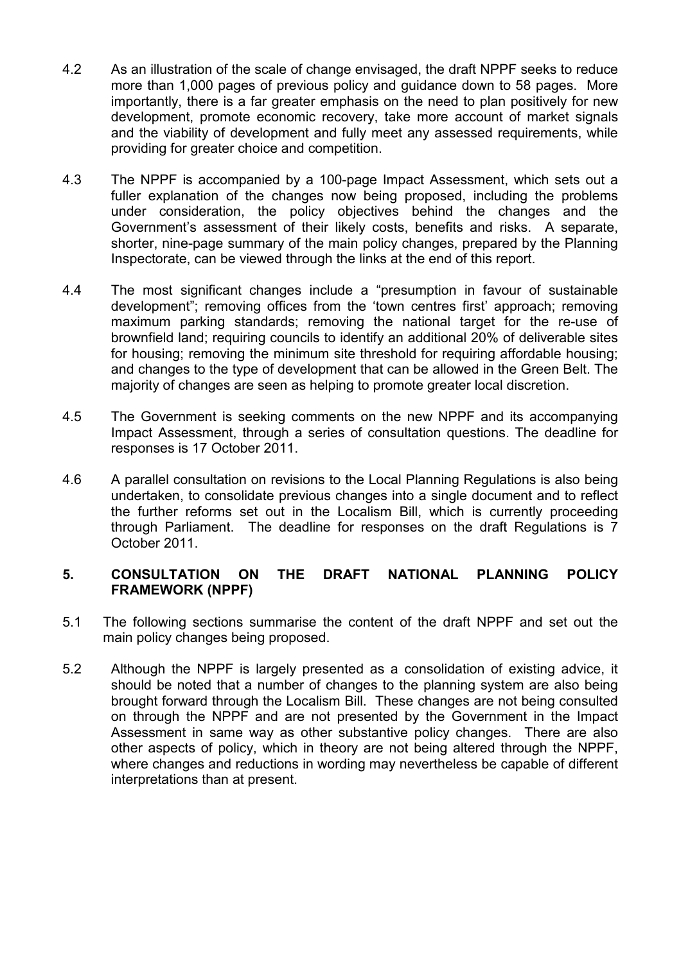- 4.2 As an illustration of the scale of change envisaged, the draft NPPF seeks to reduce more than 1,000 pages of previous policy and guidance down to 58 pages. More importantly, there is a far greater emphasis on the need to plan positively for new development, promote economic recovery, take more account of market signals and the viability of development and fully meet any assessed requirements, while providing for greater choice and competition.
- 4.3 The NPPF is accompanied by a 100-page Impact Assessment, which sets out a fuller explanation of the changes now being proposed, including the problems under consideration, the policy objectives behind the changes and the Government's assessment of their likely costs, benefits and risks. A separate, shorter, nine-page summary of the main policy changes, prepared by the Planning Inspectorate, can be viewed through the links at the end of this report.
- 4.4 The most significant changes include a "presumption in favour of sustainable development"; removing offices from the 'town centres first' approach; removing maximum parking standards; removing the national target for the re-use of brownfield land; requiring councils to identify an additional 20% of deliverable sites for housing; removing the minimum site threshold for requiring affordable housing; and changes to the type of development that can be allowed in the Green Belt. The majority of changes are seen as helping to promote greater local discretion.
- 4.5 The Government is seeking comments on the new NPPF and its accompanying Impact Assessment, through a series of consultation questions. The deadline for responses is 17 October 2011.
- 4.6 A parallel consultation on revisions to the Local Planning Regulations is also being undertaken, to consolidate previous changes into a single document and to reflect the further reforms set out in the Localism Bill, which is currently proceeding through Parliament. The deadline for responses on the draft Regulations is 7 October 2011.

### **5. CONSULTATION ON THE DRAFT NATIONAL PLANNING POLICY FRAMEWORK (NPPF)**

- 5.1 The following sections summarise the content of the draft NPPF and set out the main policy changes being proposed.
- 5.2 Although the NPPF is largely presented as a consolidation of existing advice, it should be noted that a number of changes to the planning system are also being brought forward through the Localism Bill. These changes are not being consulted on through the NPPF and are not presented by the Government in the Impact Assessment in same way as other substantive policy changes. There are also other aspects of policy, which in theory are not being altered through the NPPF, where changes and reductions in wording may nevertheless be capable of different interpretations than at present.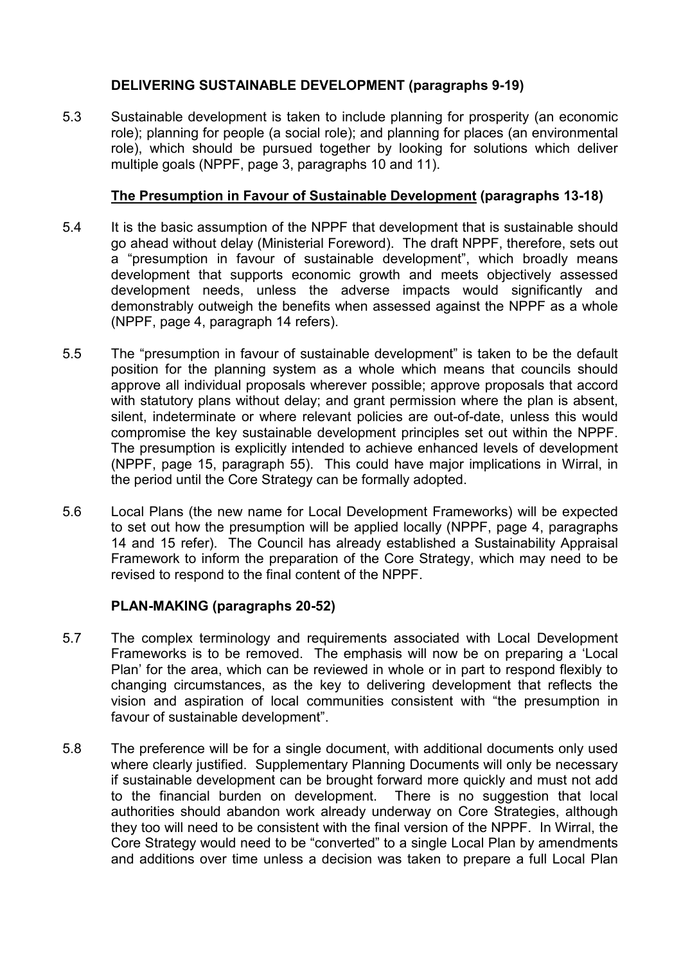# **DELIVERING SUSTAINABLE DEVELOPMENT (paragraphs 9-19)**

5.3 Sustainable development is taken to include planning for prosperity (an economic role); planning for people (a social role); and planning for places (an environmental role), which should be pursued together by looking for solutions which deliver multiple goals (NPPF, page 3, paragraphs 10 and 11).

# **The Presumption in Favour of Sustainable Development (paragraphs 13-18)**

- 5.4 It is the basic assumption of the NPPF that development that is sustainable should go ahead without delay (Ministerial Foreword). The draft NPPF, therefore, sets out a "presumption in favour of sustainable development", which broadly means development that supports economic growth and meets objectively assessed development needs, unless the adverse impacts would significantly and demonstrably outweigh the benefits when assessed against the NPPF as a whole (NPPF, page 4, paragraph 14 refers).
- 5.5 The "presumption in favour of sustainable development" is taken to be the default position for the planning system as a whole which means that councils should approve all individual proposals wherever possible; approve proposals that accord with statutory plans without delay; and grant permission where the plan is absent, silent, indeterminate or where relevant policies are out-of-date, unless this would compromise the key sustainable development principles set out within the NPPF. The presumption is explicitly intended to achieve enhanced levels of development (NPPF, page 15, paragraph 55). This could have major implications in Wirral, in the period until the Core Strategy can be formally adopted.
- 5.6 Local Plans (the new name for Local Development Frameworks) will be expected to set out how the presumption will be applied locally (NPPF, page 4, paragraphs 14 and 15 refer). The Council has already established a Sustainability Appraisal Framework to inform the preparation of the Core Strategy, which may need to be revised to respond to the final content of the NPPF.

# **PLAN-MAKING (paragraphs 20-52)**

- 5.7 The complex terminology and requirements associated with Local Development Frameworks is to be removed. The emphasis will now be on preparing a 'Local Plan' for the area, which can be reviewed in whole or in part to respond flexibly to changing circumstances, as the key to delivering development that reflects the vision and aspiration of local communities consistent with "the presumption in favour of sustainable development".
- 5.8 The preference will be for a single document, with additional documents only used where clearly justified. Supplementary Planning Documents will only be necessary if sustainable development can be brought forward more quickly and must not add to the financial burden on development. There is no suggestion that local authorities should abandon work already underway on Core Strategies, although they too will need to be consistent with the final version of the NPPF. In Wirral, the Core Strategy would need to be "converted" to a single Local Plan by amendments and additions over time unless a decision was taken to prepare a full Local Plan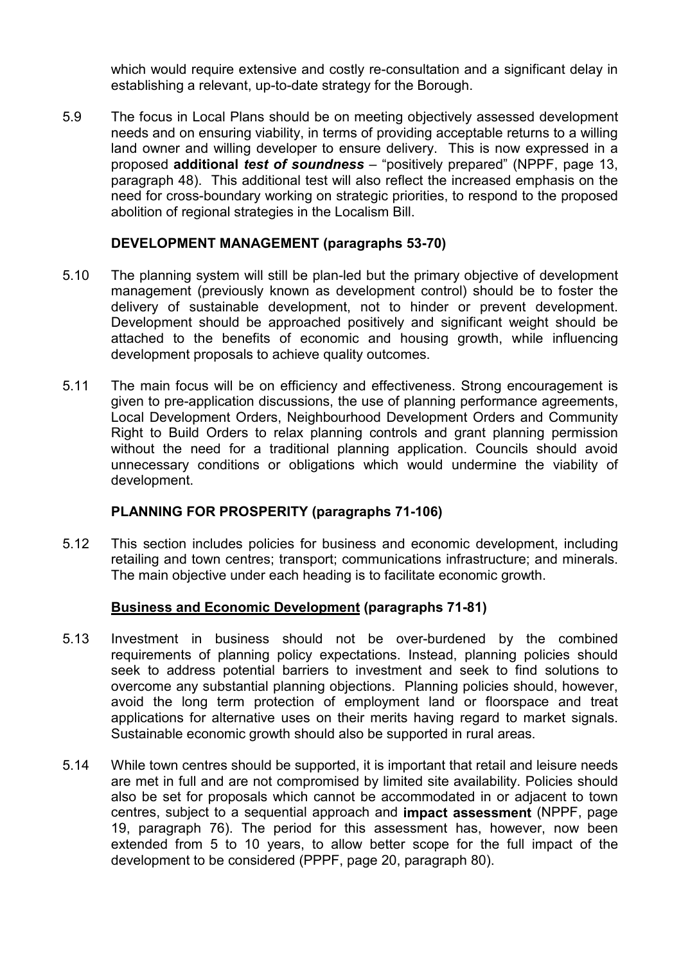which would require extensive and costly re-consultation and a significant delay in establishing a relevant, up-to-date strategy for the Borough.

5.9 The focus in Local Plans should be on meeting objectively assessed development needs and on ensuring viability, in terms of providing acceptable returns to a willing land owner and willing developer to ensure delivery. This is now expressed in a proposed **additional** *test of soundness* – "positively prepared" (NPPF, page 13, paragraph 48). This additional test will also reflect the increased emphasis on the need for cross-boundary working on strategic priorities, to respond to the proposed abolition of regional strategies in the Localism Bill.

### **DEVELOPMENT MANAGEMENT (paragraphs 53-70)**

- 5.10 The planning system will still be plan-led but the primary objective of development management (previously known as development control) should be to foster the delivery of sustainable development, not to hinder or prevent development. Development should be approached positively and significant weight should be attached to the benefits of economic and housing growth, while influencing development proposals to achieve quality outcomes.
- 5.11 The main focus will be on efficiency and effectiveness. Strong encouragement is given to pre-application discussions, the use of planning performance agreements, Local Development Orders, Neighbourhood Development Orders and Community Right to Build Orders to relax planning controls and grant planning permission without the need for a traditional planning application. Councils should avoid unnecessary conditions or obligations which would undermine the viability of development.

### **PLANNING FOR PROSPERITY (paragraphs 71-106)**

5.12 This section includes policies for business and economic development, including retailing and town centres; transport; communications infrastructure; and minerals. The main objective under each heading is to facilitate economic growth.

### **Business and Economic Development (paragraphs 71-81)**

- 5.13 Investment in business should not be over-burdened by the combined requirements of planning policy expectations. Instead, planning policies should seek to address potential barriers to investment and seek to find solutions to overcome any substantial planning objections. Planning policies should, however, avoid the long term protection of employment land or floorspace and treat applications for alternative uses on their merits having regard to market signals. Sustainable economic growth should also be supported in rural areas.
- 5.14 While town centres should be supported, it is important that retail and leisure needs are met in full and are not compromised by limited site availability. Policies should also be set for proposals which cannot be accommodated in or adjacent to town centres, subject to a sequential approach and **impact assessment** (NPPF, page 19, paragraph 76). The period for this assessment has, however, now been extended from 5 to 10 years, to allow better scope for the full impact of the development to be considered (PPPF, page 20, paragraph 80).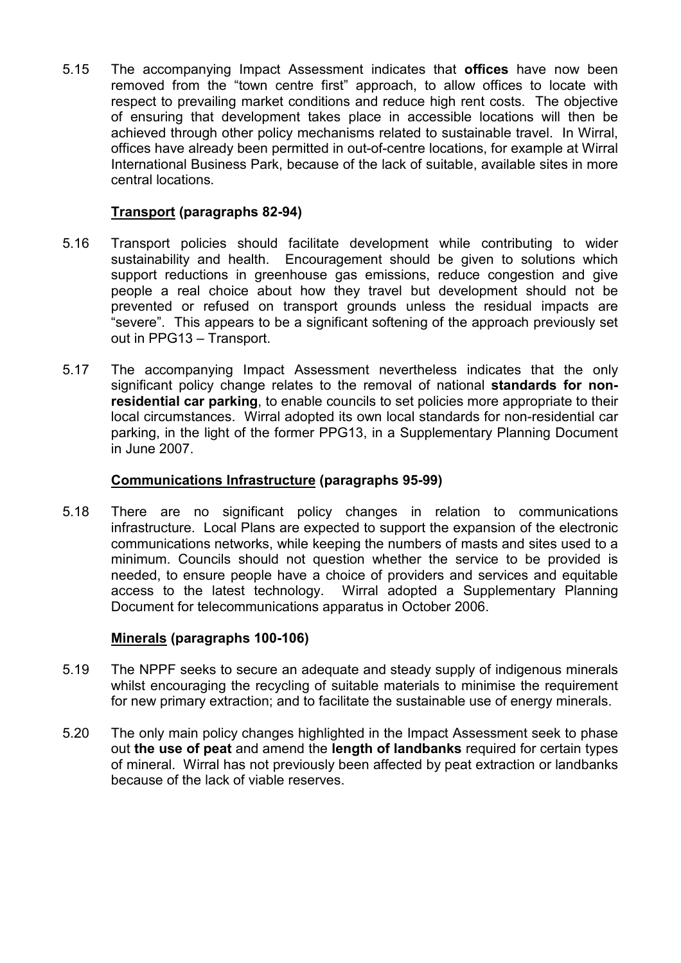5.15 The accompanying Impact Assessment indicates that **offices** have now been removed from the "town centre first" approach, to allow offices to locate with respect to prevailing market conditions and reduce high rent costs. The objective of ensuring that development takes place in accessible locations will then be achieved through other policy mechanisms related to sustainable travel. In Wirral, offices have already been permitted in out-of-centre locations, for example at Wirral International Business Park, because of the lack of suitable, available sites in more central locations.

### **Transport (paragraphs 82-94)**

- 5.16 Transport policies should facilitate development while contributing to wider sustainability and health. Encouragement should be given to solutions which support reductions in greenhouse gas emissions, reduce congestion and give people a real choice about how they travel but development should not be prevented or refused on transport grounds unless the residual impacts are "severe". This appears to be a significant softening of the approach previously set out in PPG13 – Transport.
- 5.17 The accompanying Impact Assessment nevertheless indicates that the only significant policy change relates to the removal of national **standards for nonresidential car parking**, to enable councils to set policies more appropriate to their local circumstances. Wirral adopted its own local standards for non-residential car parking, in the light of the former PPG13, in a Supplementary Planning Document in June 2007.

### **Communications Infrastructure (paragraphs 95-99)**

5.18 There are no significant policy changes in relation to communications infrastructure. Local Plans are expected to support the expansion of the electronic communications networks, while keeping the numbers of masts and sites used to a minimum. Councils should not question whether the service to be provided is needed, to ensure people have a choice of providers and services and equitable access to the latest technology. Wirral adopted a Supplementary Planning Document for telecommunications apparatus in October 2006.

### **Minerals (paragraphs 100-106)**

- 5.19 The NPPF seeks to secure an adequate and steady supply of indigenous minerals whilst encouraging the recycling of suitable materials to minimise the requirement for new primary extraction; and to facilitate the sustainable use of energy minerals.
- 5.20 The only main policy changes highlighted in the Impact Assessment seek to phase out **the use of peat** and amend the **length of landbanks** required for certain types of mineral. Wirral has not previously been affected by peat extraction or landbanks because of the lack of viable reserves.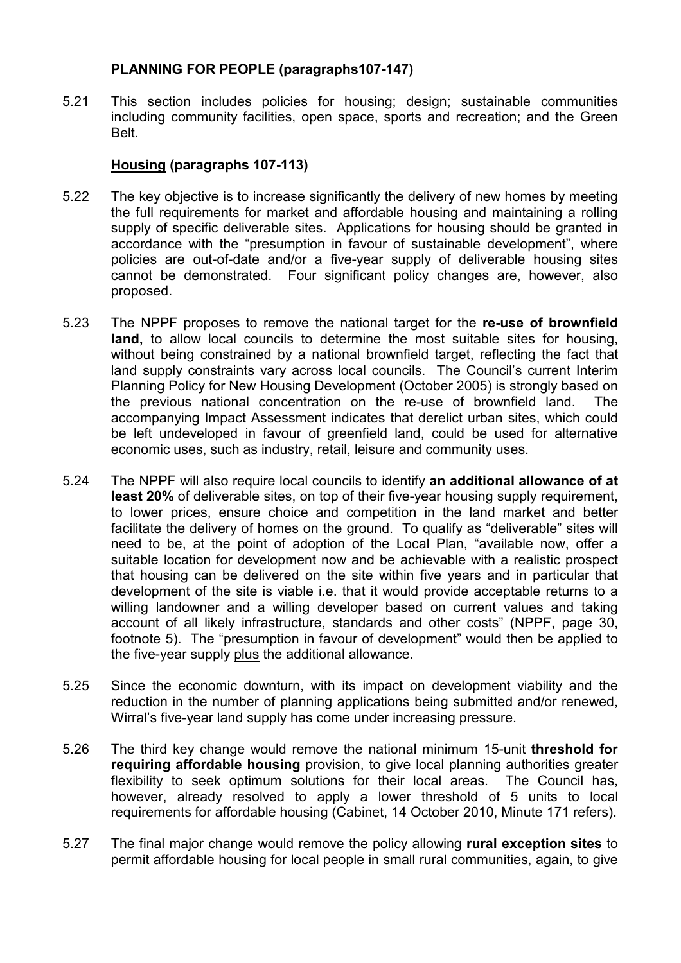### **PLANNING FOR PEOPLE (paragraphs107-147)**

5.21 This section includes policies for housing; design; sustainable communities including community facilities, open space, sports and recreation; and the Green Belt.

# **Housing (paragraphs 107-113)**

- 5.22 The key objective is to increase significantly the delivery of new homes by meeting the full requirements for market and affordable housing and maintaining a rolling supply of specific deliverable sites. Applications for housing should be granted in accordance with the "presumption in favour of sustainable development", where policies are out-of-date and/or a five-year supply of deliverable housing sites cannot be demonstrated. Four significant policy changes are, however, also proposed.
- 5.23 The NPPF proposes to remove the national target for the **re-use of brownfield land,** to allow local councils to determine the most suitable sites for housing, without being constrained by a national brownfield target, reflecting the fact that land supply constraints vary across local councils. The Council's current Interim Planning Policy for New Housing Development (October 2005) is strongly based on the previous national concentration on the re-use of brownfield land. The accompanying Impact Assessment indicates that derelict urban sites, which could be left undeveloped in favour of greenfield land, could be used for alternative economic uses, such as industry, retail, leisure and community uses.
- 5.24 The NPPF will also require local councils to identify **an additional allowance of at least 20%** of deliverable sites, on top of their five-year housing supply requirement. to lower prices, ensure choice and competition in the land market and better facilitate the delivery of homes on the ground. To qualify as "deliverable" sites will need to be, at the point of adoption of the Local Plan, "available now, offer a suitable location for development now and be achievable with a realistic prospect that housing can be delivered on the site within five years and in particular that development of the site is viable i.e. that it would provide acceptable returns to a willing landowner and a willing developer based on current values and taking account of all likely infrastructure, standards and other costs" (NPPF, page 30, footnote 5). The "presumption in favour of development" would then be applied to the five-year supply plus the additional allowance.
- 5.25 Since the economic downturn, with its impact on development viability and the reduction in the number of planning applications being submitted and/or renewed, Wirral's five-year land supply has come under increasing pressure.
- 5.26 The third key change would remove the national minimum 15-unit **threshold for requiring affordable housing** provision, to give local planning authorities greater flexibility to seek optimum solutions for their local areas. The Council has, however, already resolved to apply a lower threshold of 5 units to local requirements for affordable housing (Cabinet, 14 October 2010, Minute 171 refers).
- 5.27 The final major change would remove the policy allowing **rural exception sites** to permit affordable housing for local people in small rural communities, again, to give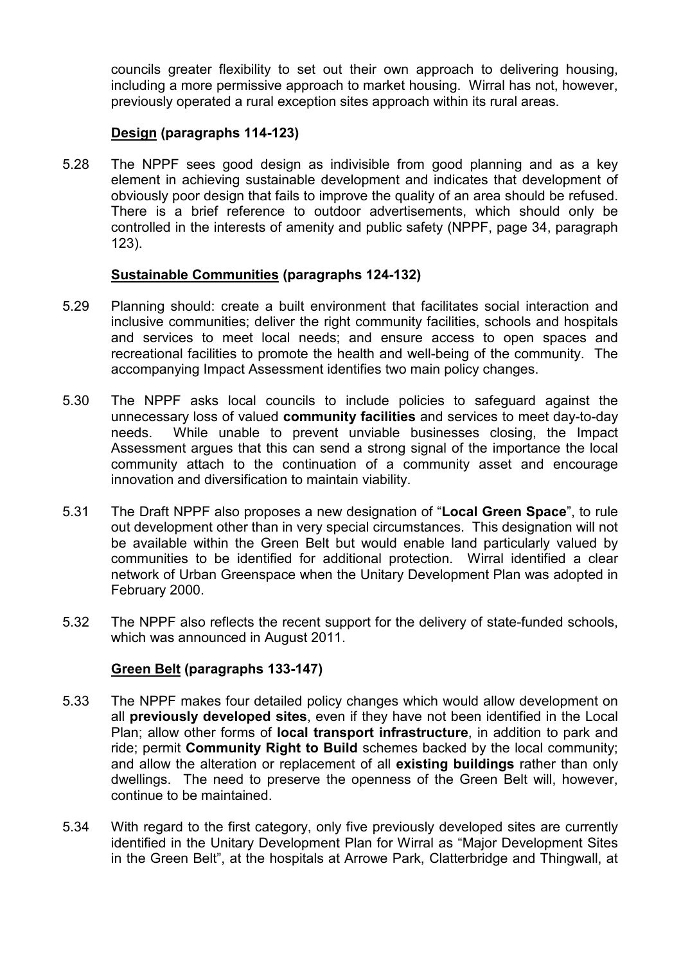councils greater flexibility to set out their own approach to delivering housing, including a more permissive approach to market housing. Wirral has not, however, previously operated a rural exception sites approach within its rural areas.

### **Design (paragraphs 114-123)**

5.28 The NPPF sees good design as indivisible from good planning and as a key element in achieving sustainable development and indicates that development of obviously poor design that fails to improve the quality of an area should be refused. There is a brief reference to outdoor advertisements, which should only be controlled in the interests of amenity and public safety (NPPF, page 34, paragraph 123).

### **Sustainable Communities (paragraphs 124-132)**

- 5.29 Planning should: create a built environment that facilitates social interaction and inclusive communities; deliver the right community facilities, schools and hospitals and services to meet local needs; and ensure access to open spaces and recreational facilities to promote the health and well-being of the community. The accompanying Impact Assessment identifies two main policy changes.
- 5.30 The NPPF asks local councils to include policies to safeguard against the unnecessary loss of valued **community facilities** and services to meet day-to-day needs. While unable to prevent unviable businesses closing, the Impact Assessment argues that this can send a strong signal of the importance the local community attach to the continuation of a community asset and encourage innovation and diversification to maintain viability.
- 5.31 The Draft NPPF also proposes a new designation of "**Local Green Space**", to rule out development other than in very special circumstances. This designation will not be available within the Green Belt but would enable land particularly valued by communities to be identified for additional protection. Wirral identified a clear network of Urban Greenspace when the Unitary Development Plan was adopted in February 2000.
- 5.32 The NPPF also reflects the recent support for the delivery of state-funded schools, which was announced in August 2011.

# **Green Belt (paragraphs 133-147)**

- 5.33 The NPPF makes four detailed policy changes which would allow development on all **previously developed sites**, even if they have not been identified in the Local Plan; allow other forms of **local transport infrastructure**, in addition to park and ride; permit **Community Right to Build** schemes backed by the local community; and allow the alteration or replacement of all **existing buildings** rather than only dwellings. The need to preserve the openness of the Green Belt will, however, continue to be maintained.
- 5.34 With regard to the first category, only five previously developed sites are currently identified in the Unitary Development Plan for Wirral as "Major Development Sites in the Green Belt", at the hospitals at Arrowe Park, Clatterbridge and Thingwall, at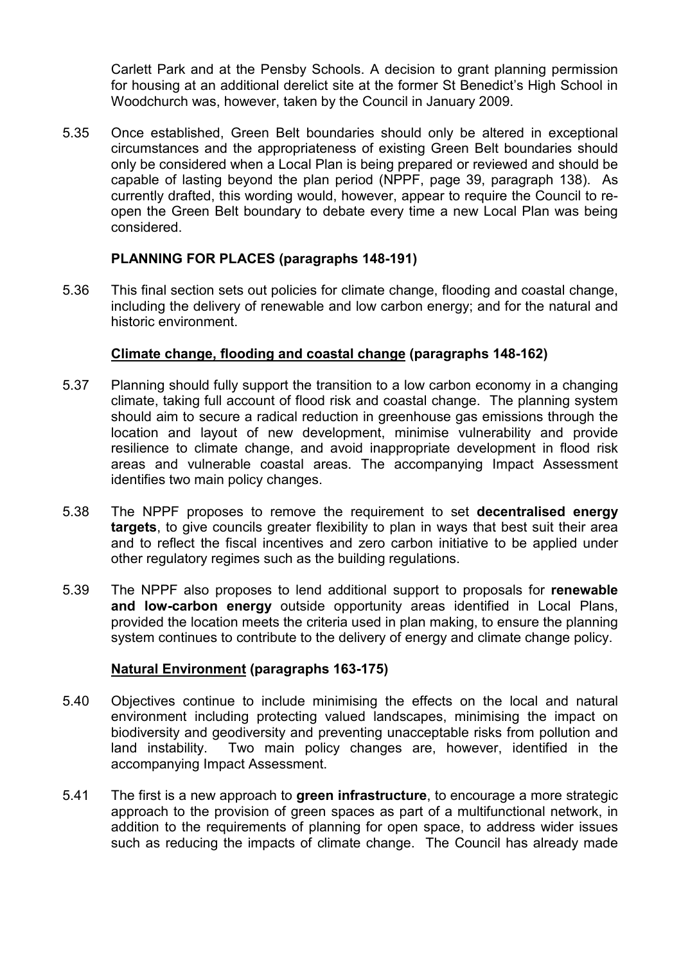Carlett Park and at the Pensby Schools. A decision to grant planning permission for housing at an additional derelict site at the former St Benedict's High School in Woodchurch was, however, taken by the Council in January 2009.

5.35 Once established, Green Belt boundaries should only be altered in exceptional circumstances and the appropriateness of existing Green Belt boundaries should only be considered when a Local Plan is being prepared or reviewed and should be capable of lasting beyond the plan period (NPPF, page 39, paragraph 138). As currently drafted, this wording would, however, appear to require the Council to reopen the Green Belt boundary to debate every time a new Local Plan was being considered.

# **PLANNING FOR PLACES (paragraphs 148-191)**

5.36 This final section sets out policies for climate change, flooding and coastal change, including the delivery of renewable and low carbon energy; and for the natural and historic environment.

### **Climate change, flooding and coastal change (paragraphs 148-162)**

- 5.37 Planning should fully support the transition to a low carbon economy in a changing climate, taking full account of flood risk and coastal change. The planning system should aim to secure a radical reduction in greenhouse gas emissions through the location and layout of new development, minimise vulnerability and provide resilience to climate change, and avoid inappropriate development in flood risk areas and vulnerable coastal areas. The accompanying Impact Assessment identifies two main policy changes.
- 5.38 The NPPF proposes to remove the requirement to set **decentralised energy targets**, to give councils greater flexibility to plan in ways that best suit their area and to reflect the fiscal incentives and zero carbon initiative to be applied under other regulatory regimes such as the building regulations.
- 5.39 The NPPF also proposes to lend additional support to proposals for **renewable and low-carbon energy** outside opportunity areas identified in Local Plans, provided the location meets the criteria used in plan making, to ensure the planning system continues to contribute to the delivery of energy and climate change policy.

### **Natural Environment (paragraphs 163-175)**

- 5.40 Objectives continue to include minimising the effects on the local and natural environment including protecting valued landscapes, minimising the impact on biodiversity and geodiversity and preventing unacceptable risks from pollution and land instability. Two main policy changes are, however, identified in the accompanying Impact Assessment.
- 5.41 The first is a new approach to **green infrastructure**, to encourage a more strategic approach to the provision of green spaces as part of a multifunctional network, in addition to the requirements of planning for open space, to address wider issues such as reducing the impacts of climate change. The Council has already made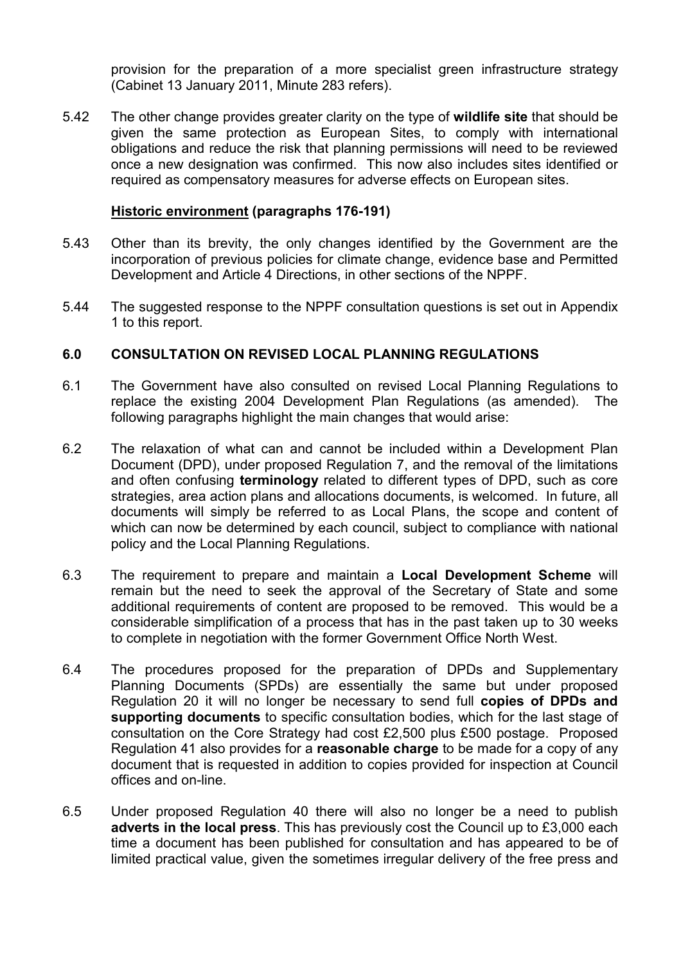provision for the preparation of a more specialist green infrastructure strategy (Cabinet 13 January 2011, Minute 283 refers).

5.42 The other change provides greater clarity on the type of **wildlife site** that should be given the same protection as European Sites, to comply with international obligations and reduce the risk that planning permissions will need to be reviewed once a new designation was confirmed. This now also includes sites identified or required as compensatory measures for adverse effects on European sites.

#### **Historic environment (paragraphs 176-191)**

- 5.43 Other than its brevity, the only changes identified by the Government are the incorporation of previous policies for climate change, evidence base and Permitted Development and Article 4 Directions, in other sections of the NPPF.
- 5.44 The suggested response to the NPPF consultation questions is set out in Appendix 1 to this report.

### **6.0 CONSULTATION ON REVISED LOCAL PLANNING REGULATIONS**

- 6.1 The Government have also consulted on revised Local Planning Regulations to replace the existing 2004 Development Plan Regulations (as amended). The following paragraphs highlight the main changes that would arise:
- 6.2 The relaxation of what can and cannot be included within a Development Plan Document (DPD), under proposed Regulation 7, and the removal of the limitations and often confusing **terminology** related to different types of DPD, such as core strategies, area action plans and allocations documents, is welcomed. In future, all documents will simply be referred to as Local Plans, the scope and content of which can now be determined by each council, subject to compliance with national policy and the Local Planning Regulations.
- 6.3 The requirement to prepare and maintain a **Local Development Scheme** will remain but the need to seek the approval of the Secretary of State and some additional requirements of content are proposed to be removed. This would be a considerable simplification of a process that has in the past taken up to 30 weeks to complete in negotiation with the former Government Office North West.
- 6.4 The procedures proposed for the preparation of DPDs and Supplementary Planning Documents (SPDs) are essentially the same but under proposed Regulation 20 it will no longer be necessary to send full **copies of DPDs and supporting documents** to specific consultation bodies, which for the last stage of consultation on the Core Strategy had cost £2,500 plus £500 postage. Proposed Regulation 41 also provides for a **reasonable charge** to be made for a copy of any document that is requested in addition to copies provided for inspection at Council offices and on-line.
- 6.5 Under proposed Regulation 40 there will also no longer be a need to publish **adverts in the local press**. This has previously cost the Council up to £3,000 each time a document has been published for consultation and has appeared to be of limited practical value, given the sometimes irregular delivery of the free press and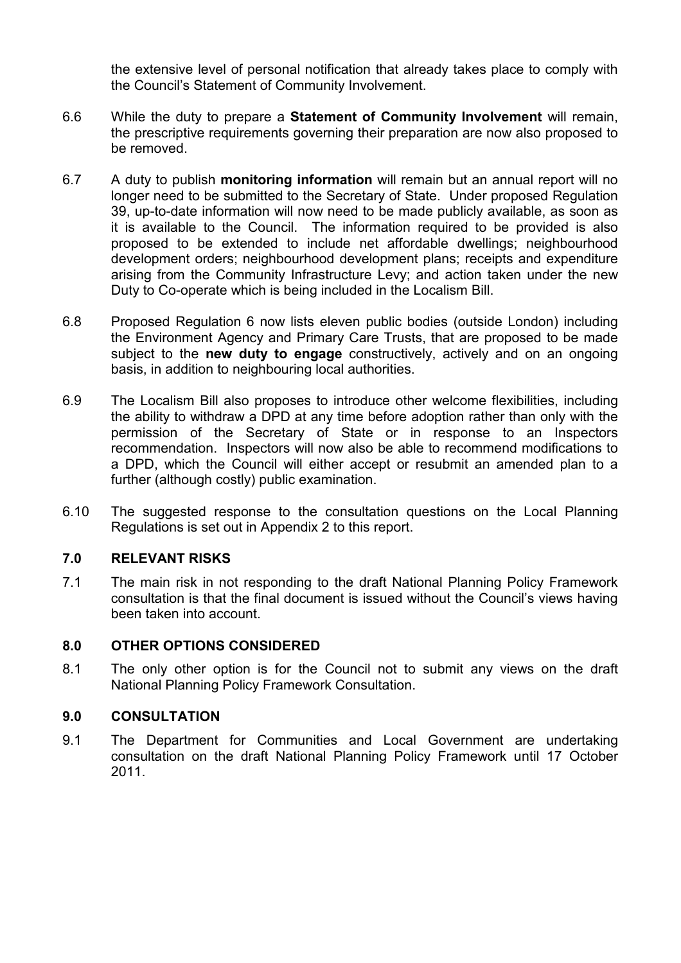the extensive level of personal notification that already takes place to comply with the Council's Statement of Community Involvement.

- 6.6 While the duty to prepare a **Statement of Community Involvement** will remain, the prescriptive requirements governing their preparation are now also proposed to be removed.
- 6.7 A duty to publish **monitoring information** will remain but an annual report will no longer need to be submitted to the Secretary of State. Under proposed Regulation 39, up-to-date information will now need to be made publicly available, as soon as it is available to the Council. The information required to be provided is also proposed to be extended to include net affordable dwellings; neighbourhood development orders; neighbourhood development plans; receipts and expenditure arising from the Community Infrastructure Levy; and action taken under the new Duty to Co-operate which is being included in the Localism Bill.
- 6.8 Proposed Regulation 6 now lists eleven public bodies (outside London) including the Environment Agency and Primary Care Trusts, that are proposed to be made subject to the **new duty to engage** constructively, actively and on an ongoing basis, in addition to neighbouring local authorities.
- 6.9 The Localism Bill also proposes to introduce other welcome flexibilities, including the ability to withdraw a DPD at any time before adoption rather than only with the permission of the Secretary of State or in response to an Inspectors recommendation. Inspectors will now also be able to recommend modifications to a DPD, which the Council will either accept or resubmit an amended plan to a further (although costly) public examination.
- 6.10 The suggested response to the consultation questions on the Local Planning Regulations is set out in Appendix 2 to this report.

### **7.0 RELEVANT RISKS**

7.1 The main risk in not responding to the draft National Planning Policy Framework consultation is that the final document is issued without the Council's views having been taken into account.

### **8.0 OTHER OPTIONS CONSIDERED**

8.1 The only other option is for the Council not to submit any views on the draft National Planning Policy Framework Consultation.

### **9.0 CONSULTATION**

9.1 The Department for Communities and Local Government are undertaking consultation on the draft National Planning Policy Framework until 17 October 2011.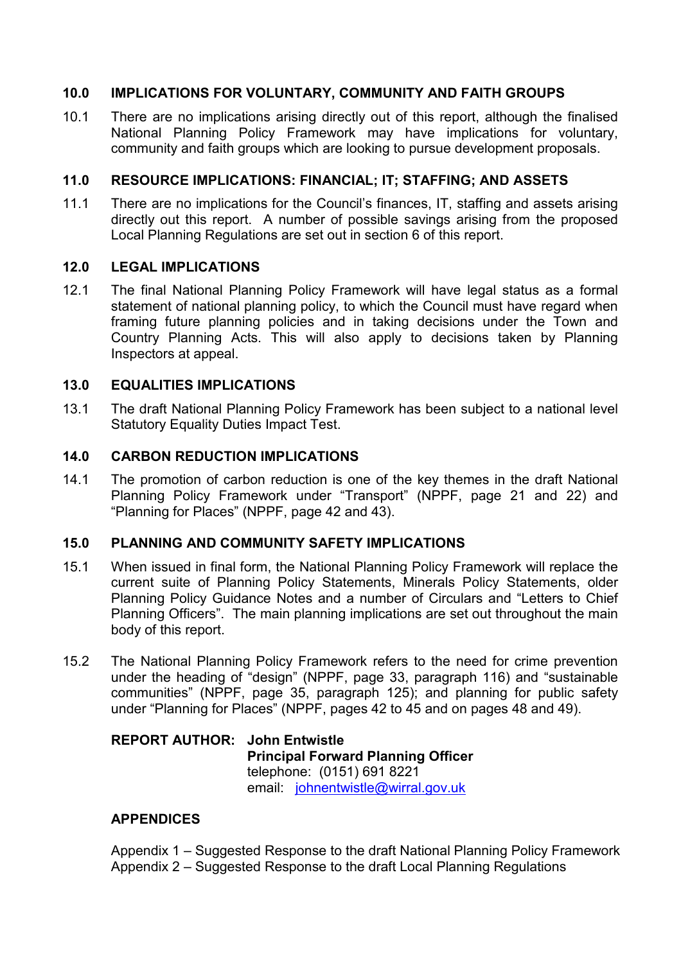### **10.0 IMPLICATIONS FOR VOLUNTARY, COMMUNITY AND FAITH GROUPS**

10.1 There are no implications arising directly out of this report, although the finalised National Planning Policy Framework may have implications for voluntary, community and faith groups which are looking to pursue development proposals.

### **11.0 RESOURCE IMPLICATIONS: FINANCIAL; IT; STAFFING; AND ASSETS**

11.1 There are no implications for the Council's finances, IT, staffing and assets arising directly out this report. A number of possible savings arising from the proposed Local Planning Regulations are set out in section 6 of this report.

### **12.0 LEGAL IMPLICATIONS**

12.1 The final National Planning Policy Framework will have legal status as a formal statement of national planning policy, to which the Council must have regard when framing future planning policies and in taking decisions under the Town and Country Planning Acts. This will also apply to decisions taken by Planning Inspectors at appeal.

### **13.0 EQUALITIES IMPLICATIONS**

13.1 The draft National Planning Policy Framework has been subject to a national level Statutory Equality Duties Impact Test.

### **14.0 CARBON REDUCTION IMPLICATIONS**

14.1 The promotion of carbon reduction is one of the key themes in the draft National Planning Policy Framework under "Transport" (NPPF, page 21 and 22) and "Planning for Places" (NPPF, page 42 and 43).

### **15.0 PLANNING AND COMMUNITY SAFETY IMPLICATIONS**

- 15.1 When issued in final form, the National Planning Policy Framework will replace the current suite of Planning Policy Statements, Minerals Policy Statements, older Planning Policy Guidance Notes and a number of Circulars and "Letters to Chief Planning Officers". The main planning implications are set out throughout the main body of this report.
- 15.2 The National Planning Policy Framework refers to the need for crime prevention under the heading of "design" (NPPF, page 33, paragraph 116) and "sustainable communities" (NPPF, page 35, paragraph 125); and planning for public safety under "Planning for Places" (NPPF, pages 42 to 45 and on pages 48 and 49).

#### **REPORT AUTHOR: John Entwistle Principal Forward Planning Officer**  telephone: (0151) 691 8221 email: johnentwistle@wirral.gov.uk

### **APPENDICES**

Appendix 1 – Suggested Response to the draft National Planning Policy Framework Appendix 2 – Suggested Response to the draft Local Planning Regulations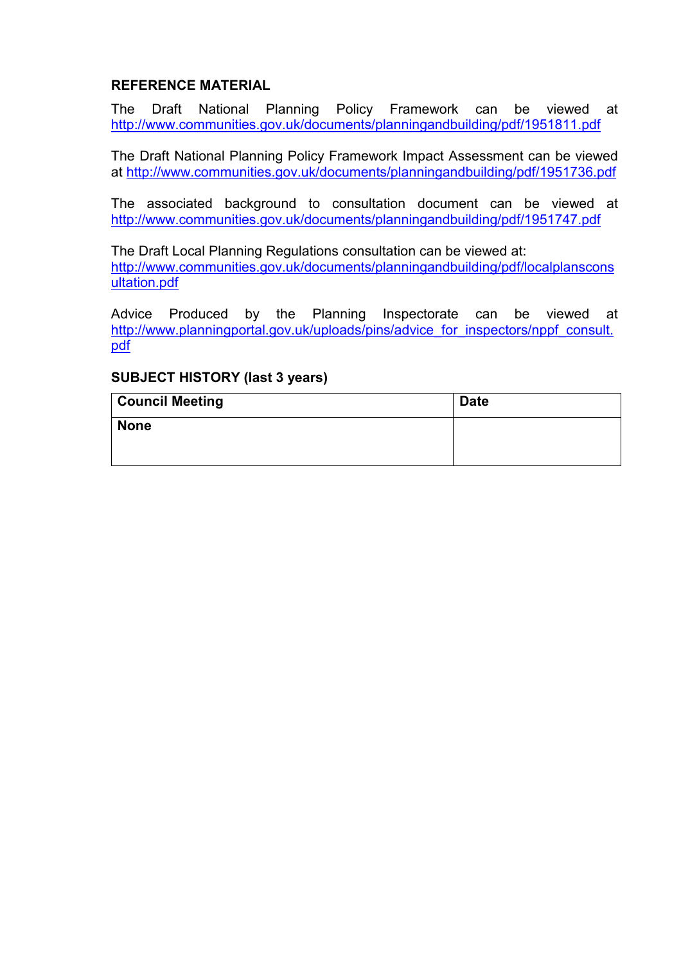# **REFERENCE MATERIAL**

The Draft National Planning Policy Framework can be viewed at http://www.communities.gov.uk/documents/planningandbuilding/pdf/1951811.pdf

The Draft National Planning Policy Framework Impact Assessment can be viewed at http://www.communities.gov.uk/documents/planningandbuilding/pdf/1951736.pdf

The associated background to consultation document can be viewed at http://www.communities.gov.uk/documents/planningandbuilding/pdf/1951747.pdf

The Draft Local Planning Regulations consultation can be viewed at: http://www.communities.gov.uk/documents/planningandbuilding/pdf/localplanscons ultation.pdf

Advice Produced by the Planning Inspectorate can be viewed at http://www.planningportal.gov.uk/uploads/pins/advice\_for\_inspectors/nppf\_consult. pdf

### **SUBJECT HISTORY (last 3 years)**

| <b>Council Meeting</b> | <b>Date</b> |
|------------------------|-------------|
| <b>None</b>            |             |
|                        |             |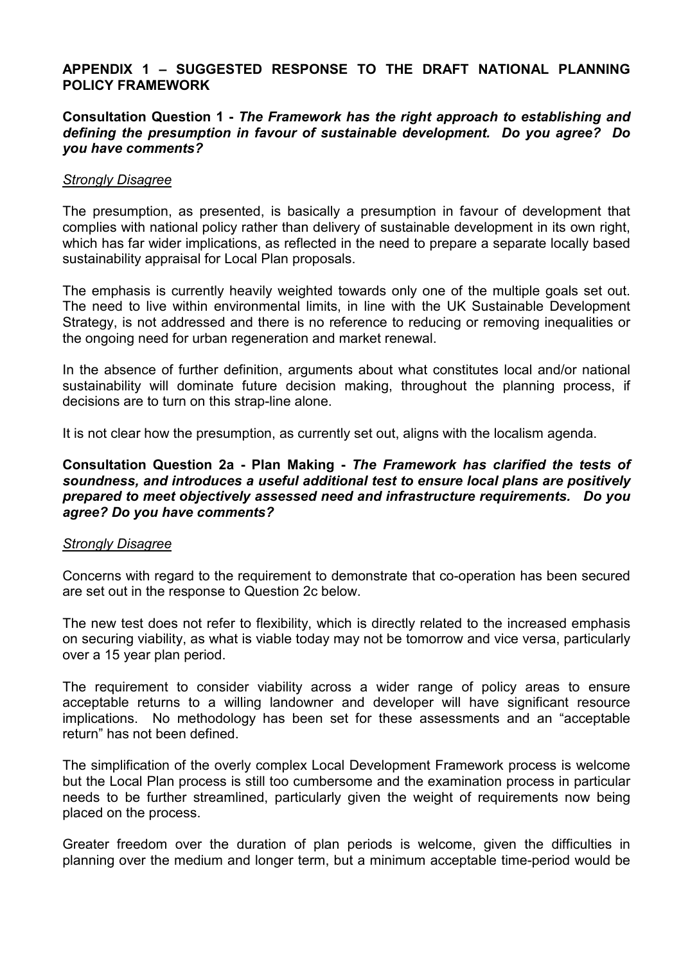### **APPENDIX 1 – SUGGESTED RESPONSE TO THE DRAFT NATIONAL PLANNING POLICY FRAMEWORK**

### **Consultation Question 1 -** *The Framework has the right approach to establishing and defining the presumption in favour of sustainable development. Do you agree? Do you have comments?*

#### *Strongly Disagree*

The presumption, as presented, is basically a presumption in favour of development that complies with national policy rather than delivery of sustainable development in its own right, which has far wider implications, as reflected in the need to prepare a separate locally based sustainability appraisal for Local Plan proposals.

The emphasis is currently heavily weighted towards only one of the multiple goals set out. The need to live within environmental limits, in line with the UK Sustainable Development Strategy, is not addressed and there is no reference to reducing or removing inequalities or the ongoing need for urban regeneration and market renewal.

In the absence of further definition, arguments about what constitutes local and/or national sustainability will dominate future decision making, throughout the planning process, if decisions are to turn on this strap-line alone.

It is not clear how the presumption, as currently set out, aligns with the localism agenda.

#### **Consultation Question 2a - Plan Making -** *The Framework has clarified the tests of soundness, and introduces a useful additional test to ensure local plans are positively prepared to meet objectively assessed need and infrastructure requirements. Do you agree? Do you have comments?*

#### *Strongly Disagree*

Concerns with regard to the requirement to demonstrate that co-operation has been secured are set out in the response to Question 2c below.

The new test does not refer to flexibility, which is directly related to the increased emphasis on securing viability, as what is viable today may not be tomorrow and vice versa, particularly over a 15 year plan period.

The requirement to consider viability across a wider range of policy areas to ensure acceptable returns to a willing landowner and developer will have significant resource implications. No methodology has been set for these assessments and an "acceptable return" has not been defined.

The simplification of the overly complex Local Development Framework process is welcome but the Local Plan process is still too cumbersome and the examination process in particular needs to be further streamlined, particularly given the weight of requirements now being placed on the process.

Greater freedom over the duration of plan periods is welcome, given the difficulties in planning over the medium and longer term, but a minimum acceptable time-period would be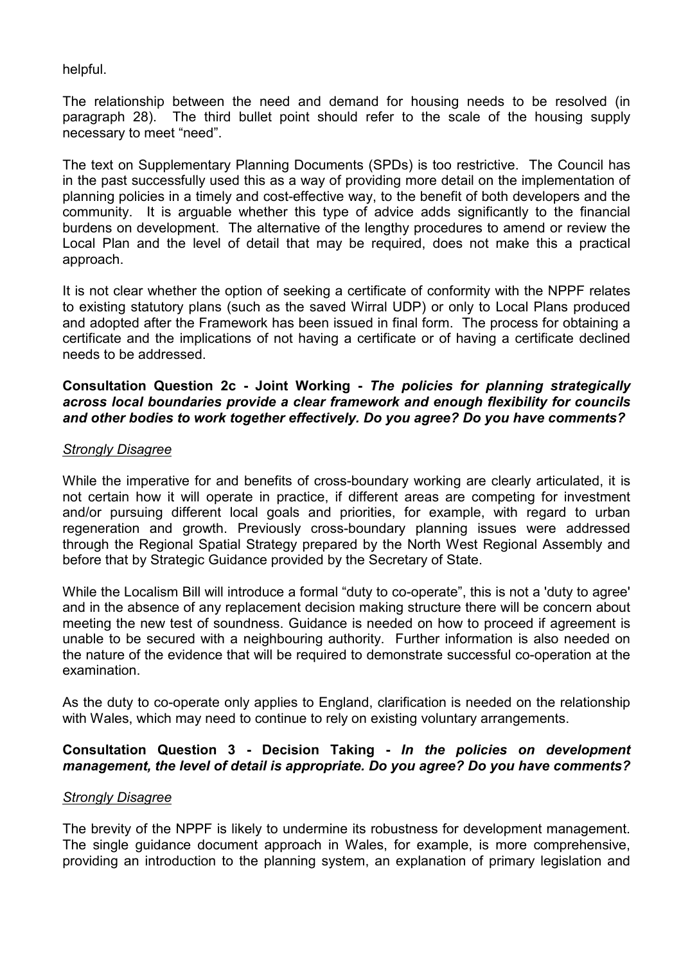### helpful.

The relationship between the need and demand for housing needs to be resolved (in paragraph 28). The third bullet point should refer to the scale of the housing supply necessary to meet "need".

The text on Supplementary Planning Documents (SPDs) is too restrictive. The Council has in the past successfully used this as a way of providing more detail on the implementation of planning policies in a timely and cost-effective way, to the benefit of both developers and the community. It is arguable whether this type of advice adds significantly to the financial burdens on development. The alternative of the lengthy procedures to amend or review the Local Plan and the level of detail that may be required, does not make this a practical approach.

It is not clear whether the option of seeking a certificate of conformity with the NPPF relates to existing statutory plans (such as the saved Wirral UDP) or only to Local Plans produced and adopted after the Framework has been issued in final form. The process for obtaining a certificate and the implications of not having a certificate or of having a certificate declined needs to be addressed.

#### **Consultation Question 2c - Joint Working -** *The policies for planning strategically across local boundaries provide a clear framework and enough flexibility for councils and other bodies to work together effectively. Do you agree? Do you have comments?*

#### *Strongly Disagree*

While the imperative for and benefits of cross-boundary working are clearly articulated, it is not certain how it will operate in practice, if different areas are competing for investment and/or pursuing different local goals and priorities, for example, with regard to urban regeneration and growth. Previously cross-boundary planning issues were addressed through the Regional Spatial Strategy prepared by the North West Regional Assembly and before that by Strategic Guidance provided by the Secretary of State.

While the Localism Bill will introduce a formal "duty to co-operate", this is not a 'duty to agree' and in the absence of any replacement decision making structure there will be concern about meeting the new test of soundness. Guidance is needed on how to proceed if agreement is unable to be secured with a neighbouring authority. Further information is also needed on the nature of the evidence that will be required to demonstrate successful co-operation at the examination.

As the duty to co-operate only applies to England, clarification is needed on the relationship with Wales, which may need to continue to rely on existing voluntary arrangements.

### **Consultation Question 3 - Decision Taking -** *In the policies on development management, the level of detail is appropriate. Do you agree? Do you have comments?*

#### *Strongly Disagree*

The brevity of the NPPF is likely to undermine its robustness for development management. The single guidance document approach in Wales, for example, is more comprehensive, providing an introduction to the planning system, an explanation of primary legislation and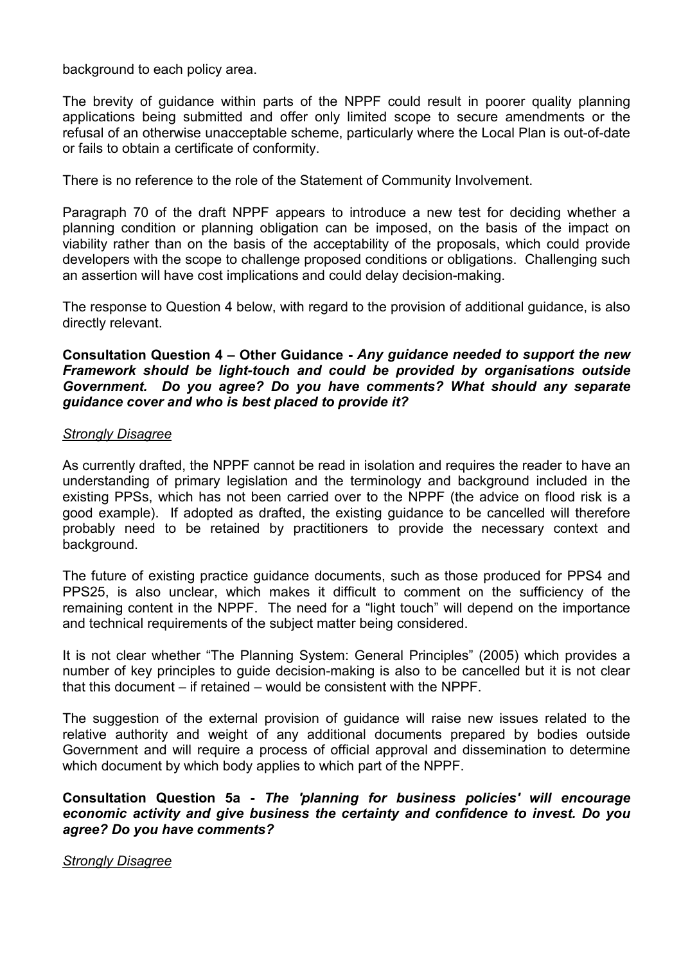background to each policy area.

The brevity of guidance within parts of the NPPF could result in poorer quality planning applications being submitted and offer only limited scope to secure amendments or the refusal of an otherwise unacceptable scheme, particularly where the Local Plan is out-of-date or fails to obtain a certificate of conformity.

There is no reference to the role of the Statement of Community Involvement.

Paragraph 70 of the draft NPPF appears to introduce a new test for deciding whether a planning condition or planning obligation can be imposed, on the basis of the impact on viability rather than on the basis of the acceptability of the proposals, which could provide developers with the scope to challenge proposed conditions or obligations. Challenging such an assertion will have cost implications and could delay decision-making.

The response to Question 4 below, with regard to the provision of additional guidance, is also directly relevant.

### **Consultation Question 4 – Other Guidance -** *Any guidance needed to support the new Framework should be light-touch and could be provided by organisations outside Government. Do you agree? Do you have comments? What should any separate guidance cover and who is best placed to provide it?*

#### *Strongly Disagree*

As currently drafted, the NPPF cannot be read in isolation and requires the reader to have an understanding of primary legislation and the terminology and background included in the existing PPSs, which has not been carried over to the NPPF (the advice on flood risk is a good example). If adopted as drafted, the existing guidance to be cancelled will therefore probably need to be retained by practitioners to provide the necessary context and background.

The future of existing practice guidance documents, such as those produced for PPS4 and PPS25, is also unclear, which makes it difficult to comment on the sufficiency of the remaining content in the NPPF. The need for a "light touch" will depend on the importance and technical requirements of the subject matter being considered.

It is not clear whether "The Planning System: General Principles" (2005) which provides a number of key principles to guide decision-making is also to be cancelled but it is not clear that this document – if retained – would be consistent with the NPPF.

The suggestion of the external provision of guidance will raise new issues related to the relative authority and weight of any additional documents prepared by bodies outside Government and will require a process of official approval and dissemination to determine which document by which body applies to which part of the NPPF.

**Consultation Question 5a -** *The 'planning for business policies' will encourage economic activity and give business the certainty and confidence to invest. Do you agree? Do you have comments?* 

*Strongly Disagree*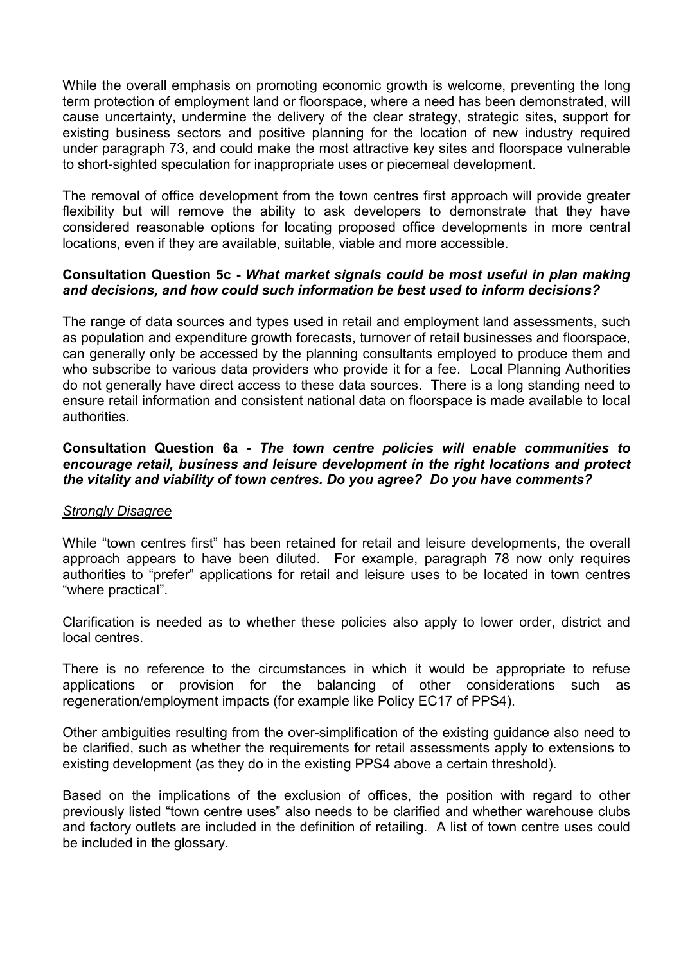While the overall emphasis on promoting economic growth is welcome, preventing the long term protection of employment land or floorspace, where a need has been demonstrated, will cause uncertainty, undermine the delivery of the clear strategy, strategic sites, support for existing business sectors and positive planning for the location of new industry required under paragraph 73, and could make the most attractive key sites and floorspace vulnerable to short-sighted speculation for inappropriate uses or piecemeal development.

The removal of office development from the town centres first approach will provide greater flexibility but will remove the ability to ask developers to demonstrate that they have considered reasonable options for locating proposed office developments in more central locations, even if they are available, suitable, viable and more accessible.

#### **Consultation Question 5c -** *What market signals could be most useful in plan making and decisions, and how could such information be best used to inform decisions?*

The range of data sources and types used in retail and employment land assessments, such as population and expenditure growth forecasts, turnover of retail businesses and floorspace, can generally only be accessed by the planning consultants employed to produce them and who subscribe to various data providers who provide it for a fee. Local Planning Authorities do not generally have direct access to these data sources. There is a long standing need to ensure retail information and consistent national data on floorspace is made available to local authorities.

### **Consultation Question 6a -** *The town centre policies will enable communities to encourage retail, business and leisure development in the right locations and protect the vitality and viability of town centres. Do you agree? Do you have comments?*

#### *Strongly Disagree*

While "town centres first" has been retained for retail and leisure developments, the overall approach appears to have been diluted. For example, paragraph 78 now only requires authorities to "prefer" applications for retail and leisure uses to be located in town centres "where practical".

Clarification is needed as to whether these policies also apply to lower order, district and local centres.

There is no reference to the circumstances in which it would be appropriate to refuse applications or provision for the balancing of other considerations such as regeneration/employment impacts (for example like Policy EC17 of PPS4).

Other ambiguities resulting from the over-simplification of the existing guidance also need to be clarified, such as whether the requirements for retail assessments apply to extensions to existing development (as they do in the existing PPS4 above a certain threshold).

Based on the implications of the exclusion of offices, the position with regard to other previously listed "town centre uses" also needs to be clarified and whether warehouse clubs and factory outlets are included in the definition of retailing. A list of town centre uses could be included in the glossary.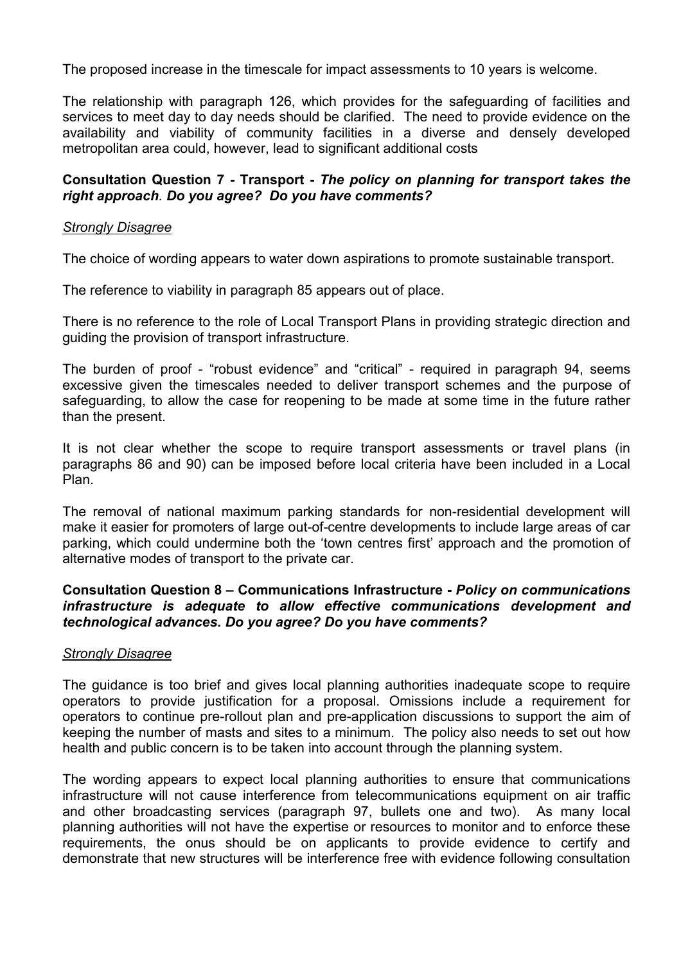The proposed increase in the timescale for impact assessments to 10 years is welcome.

The relationship with paragraph 126, which provides for the safeguarding of facilities and services to meet day to day needs should be clarified. The need to provide evidence on the availability and viability of community facilities in a diverse and densely developed metropolitan area could, however, lead to significant additional costs

#### **Consultation Question 7 - Transport -** *The policy on planning for transport takes the right approach. Do you agree? Do you have comments?*

#### *Strongly Disagree*

The choice of wording appears to water down aspirations to promote sustainable transport.

The reference to viability in paragraph 85 appears out of place.

There is no reference to the role of Local Transport Plans in providing strategic direction and guiding the provision of transport infrastructure.

The burden of proof - "robust evidence" and "critical" - required in paragraph 94, seems excessive given the timescales needed to deliver transport schemes and the purpose of safeguarding, to allow the case for reopening to be made at some time in the future rather than the present.

It is not clear whether the scope to require transport assessments or travel plans (in paragraphs 86 and 90) can be imposed before local criteria have been included in a Local Plan.

The removal of national maximum parking standards for non-residential development will make it easier for promoters of large out-of-centre developments to include large areas of car parking, which could undermine both the 'town centres first' approach and the promotion of alternative modes of transport to the private car.

### **Consultation Question 8 – Communications Infrastructure -** *Policy on communications infrastructure is adequate to allow effective communications development and technological advances. Do you agree? Do you have comments?*

### *Strongly Disagree*

The guidance is too brief and gives local planning authorities inadequate scope to require operators to provide justification for a proposal. Omissions include a requirement for operators to continue pre-rollout plan and pre-application discussions to support the aim of keeping the number of masts and sites to a minimum. The policy also needs to set out how health and public concern is to be taken into account through the planning system.

The wording appears to expect local planning authorities to ensure that communications infrastructure will not cause interference from telecommunications equipment on air traffic and other broadcasting services (paragraph 97, bullets one and two). As many local planning authorities will not have the expertise or resources to monitor and to enforce these requirements, the onus should be on applicants to provide evidence to certify and demonstrate that new structures will be interference free with evidence following consultation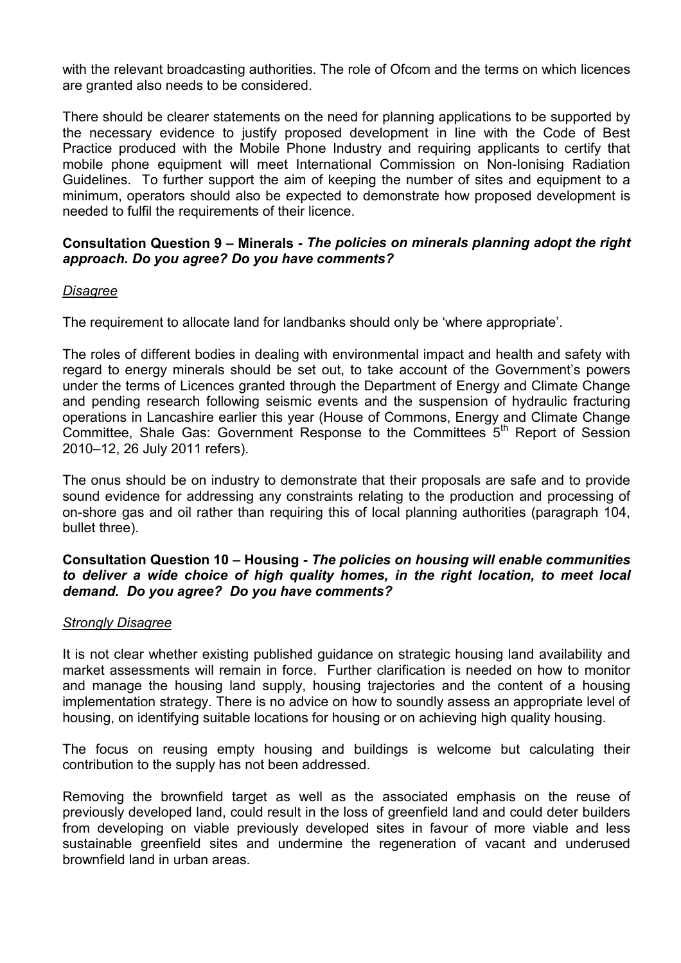with the relevant broadcasting authorities. The role of Ofcom and the terms on which licences are granted also needs to be considered.

There should be clearer statements on the need for planning applications to be supported by the necessary evidence to justify proposed development in line with the Code of Best Practice produced with the Mobile Phone Industry and requiring applicants to certify that mobile phone equipment will meet International Commission on Non-Ionising Radiation Guidelines. To further support the aim of keeping the number of sites and equipment to a minimum, operators should also be expected to demonstrate how proposed development is needed to fulfil the requirements of their licence.

### **Consultation Question 9 – Minerals -** *The policies on minerals planning adopt the right approach. Do you agree? Do you have comments?*

### *Disagree*

The requirement to allocate land for landbanks should only be 'where appropriate'.

The roles of different bodies in dealing with environmental impact and health and safety with regard to energy minerals should be set out, to take account of the Government's powers under the terms of Licences granted through the Department of Energy and Climate Change and pending research following seismic events and the suspension of hydraulic fracturing operations in Lancashire earlier this year (House of Commons, Energy and Climate Change Committee, Shale Gas: Government Response to the Committees 5<sup>th</sup> Report of Session 2010–12, 26 July 2011 refers).

The onus should be on industry to demonstrate that their proposals are safe and to provide sound evidence for addressing any constraints relating to the production and processing of on-shore gas and oil rather than requiring this of local planning authorities (paragraph 104, bullet three).

#### **Consultation Question 10 – Housing -** *The policies on housing will enable communities to deliver a wide choice of high quality homes, in the right location, to meet local demand. Do you agree?**Do you have comments?*

### *Strongly Disagree*

It is not clear whether existing published guidance on strategic housing land availability and market assessments will remain in force. Further clarification is needed on how to monitor and manage the housing land supply, housing trajectories and the content of a housing implementation strategy. There is no advice on how to soundly assess an appropriate level of housing, on identifying suitable locations for housing or on achieving high quality housing.

The focus on reusing empty housing and buildings is welcome but calculating their contribution to the supply has not been addressed.

Removing the brownfield target as well as the associated emphasis on the reuse of previously developed land, could result in the loss of greenfield land and could deter builders from developing on viable previously developed sites in favour of more viable and less sustainable greenfield sites and undermine the regeneration of vacant and underused brownfield land in urban areas.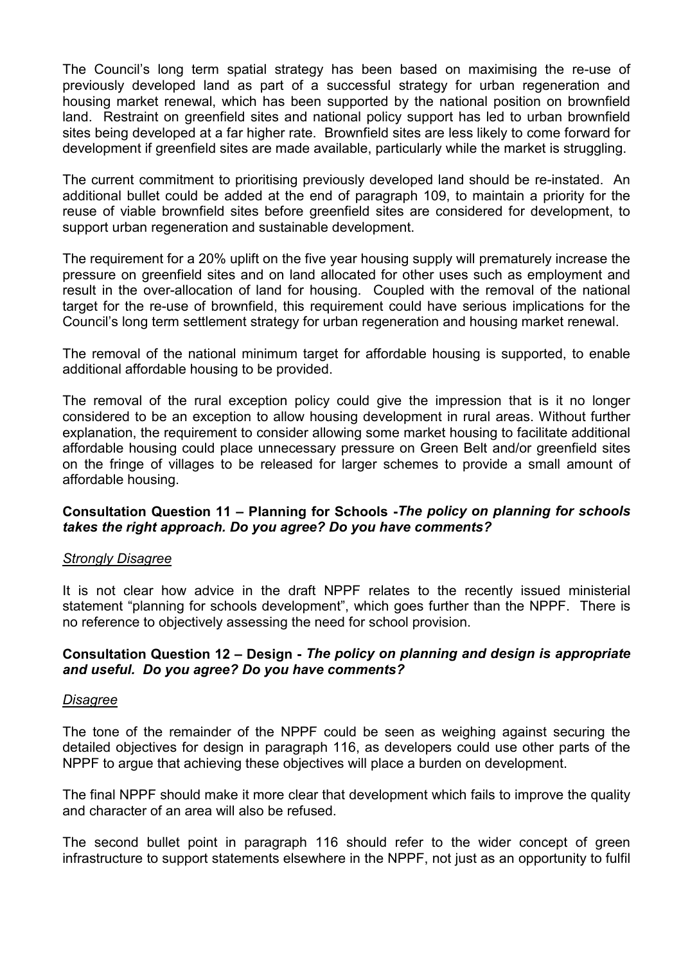The Council's long term spatial strategy has been based on maximising the re-use of previously developed land as part of a successful strategy for urban regeneration and housing market renewal, which has been supported by the national position on brownfield land. Restraint on greenfield sites and national policy support has led to urban brownfield sites being developed at a far higher rate. Brownfield sites are less likely to come forward for development if greenfield sites are made available, particularly while the market is struggling.

The current commitment to prioritising previously developed land should be re-instated. An additional bullet could be added at the end of paragraph 109, to maintain a priority for the reuse of viable brownfield sites before greenfield sites are considered for development, to support urban regeneration and sustainable development.

The requirement for a 20% uplift on the five year housing supply will prematurely increase the pressure on greenfield sites and on land allocated for other uses such as employment and result in the over-allocation of land for housing. Coupled with the removal of the national target for the re-use of brownfield, this requirement could have serious implications for the Council's long term settlement strategy for urban regeneration and housing market renewal.

The removal of the national minimum target for affordable housing is supported, to enable additional affordable housing to be provided.

The removal of the rural exception policy could give the impression that is it no longer considered to be an exception to allow housing development in rural areas. Without further explanation, the requirement to consider allowing some market housing to facilitate additional affordable housing could place unnecessary pressure on Green Belt and/or greenfield sites on the fringe of villages to be released for larger schemes to provide a small amount of affordable housing.

### **Consultation Question 11 – Planning for Schools -***The policy on planning for schools takes the right approach. Do you agree? Do you have comments?*

### *Strongly Disagree*

It is not clear how advice in the draft NPPF relates to the recently issued ministerial statement "planning for schools development", which goes further than the NPPF. There is no reference to objectively assessing the need for school provision.

### **Consultation Question 12 – Design -** *The policy on planning and design is appropriate and useful. Do you agree? Do you have comments?*

#### *Disagree*

The tone of the remainder of the NPPF could be seen as weighing against securing the detailed objectives for design in paragraph 116, as developers could use other parts of the NPPF to argue that achieving these objectives will place a burden on development.

The final NPPF should make it more clear that development which fails to improve the quality and character of an area will also be refused.

The second bullet point in paragraph 116 should refer to the wider concept of green infrastructure to support statements elsewhere in the NPPF, not just as an opportunity to fulfil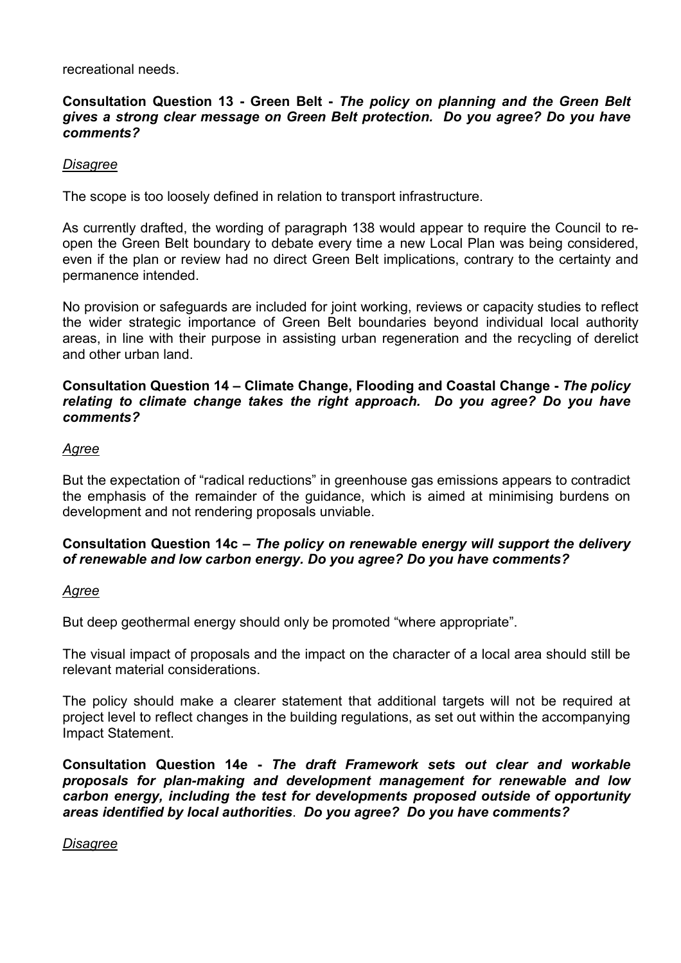recreational needs.

### **Consultation Question 13 - Green Belt -** *The policy on planning and the Green Belt gives a strong clear message on Green Belt protection. Do you agree? Do you have comments?*

### *Disagree*

The scope is too loosely defined in relation to transport infrastructure.

As currently drafted, the wording of paragraph 138 would appear to require the Council to reopen the Green Belt boundary to debate every time a new Local Plan was being considered, even if the plan or review had no direct Green Belt implications, contrary to the certainty and permanence intended.

No provision or safeguards are included for joint working, reviews or capacity studies to reflect the wider strategic importance of Green Belt boundaries beyond individual local authority areas, in line with their purpose in assisting urban regeneration and the recycling of derelict and other urban land.

**Consultation Question 14 – Climate Change, Flooding and Coastal Change -** *The policy relating to climate change takes the right approach. Do you agree? Do you have comments?* 

#### *Agree*

But the expectation of "radical reductions" in greenhouse gas emissions appears to contradict the emphasis of the remainder of the guidance, which is aimed at minimising burdens on development and not rendering proposals unviable.

### **Consultation Question 14c –** *The policy on renewable energy will support the delivery of renewable and low carbon energy. Do you agree? Do you have comments?*

#### *Agree*

But deep geothermal energy should only be promoted "where appropriate".

The visual impact of proposals and the impact on the character of a local area should still be relevant material considerations.

The policy should make a clearer statement that additional targets will not be required at project level to reflect changes in the building regulations, as set out within the accompanying Impact Statement.

**Consultation Question 14e -** *The draft Framework sets out clear and workable proposals for plan-making and development management for renewable and low carbon energy, including the test for developments proposed outside of opportunity areas identified by local authorities*. *Do you agree? Do you have comments?* 

### *Disagree*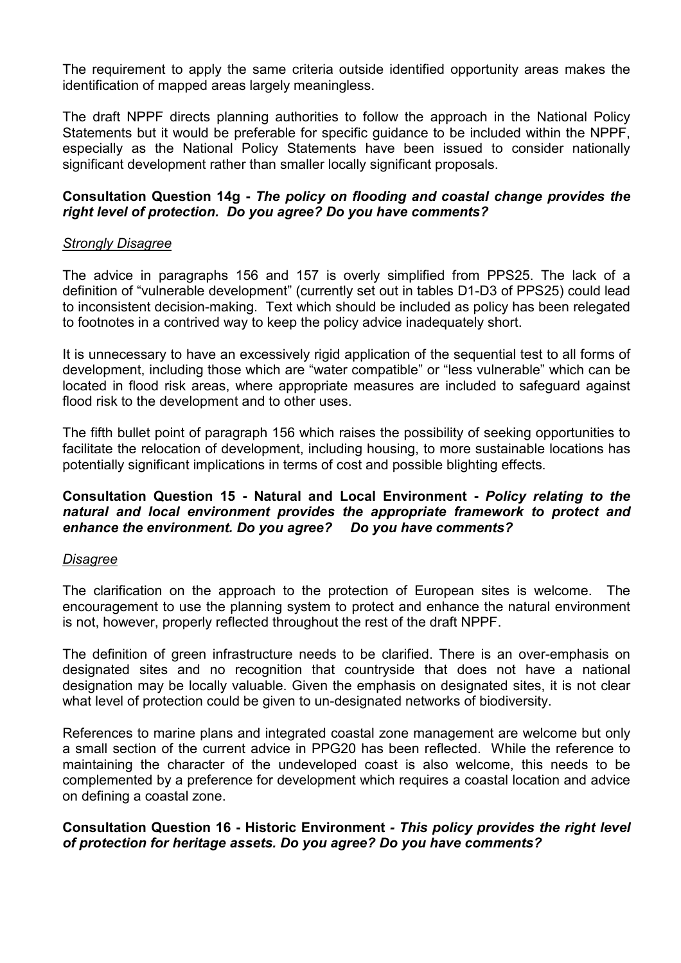The requirement to apply the same criteria outside identified opportunity areas makes the identification of mapped areas largely meaningless.

The draft NPPF directs planning authorities to follow the approach in the National Policy Statements but it would be preferable for specific guidance to be included within the NPPF, especially as the National Policy Statements have been issued to consider nationally significant development rather than smaller locally significant proposals.

### **Consultation Question 14g -** *The policy on flooding and coastal change provides the right level of protection. Do you agree? Do you have comments?*

#### *Strongly Disagree*

The advice in paragraphs 156 and 157 is overly simplified from PPS25. The lack of a definition of "vulnerable development" (currently set out in tables D1-D3 of PPS25) could lead to inconsistent decision-making. Text which should be included as policy has been relegated to footnotes in a contrived way to keep the policy advice inadequately short.

It is unnecessary to have an excessively rigid application of the sequential test to all forms of development, including those which are "water compatible" or "less vulnerable" which can be located in flood risk areas, where appropriate measures are included to safeguard against flood risk to the development and to other uses.

The fifth bullet point of paragraph 156 which raises the possibility of seeking opportunities to facilitate the relocation of development, including housing, to more sustainable locations has potentially significant implications in terms of cost and possible blighting effects.

### **Consultation Question 15 - Natural and Local Environment -** *Policy relating to the natural and local environment provides the appropriate framework to protect and enhance the environment. Do you agree? Do you have comments?*

#### *Disagree*

The clarification on the approach to the protection of European sites is welcome. The encouragement to use the planning system to protect and enhance the natural environment is not, however, properly reflected throughout the rest of the draft NPPF.

The definition of green infrastructure needs to be clarified. There is an over-emphasis on designated sites and no recognition that countryside that does not have a national designation may be locally valuable. Given the emphasis on designated sites, it is not clear what level of protection could be given to un-designated networks of biodiversity.

References to marine plans and integrated coastal zone management are welcome but only a small section of the current advice in PPG20 has been reflected. While the reference to maintaining the character of the undeveloped coast is also welcome, this needs to be complemented by a preference for development which requires a coastal location and advice on defining a coastal zone.

### **Consultation Question 16 - Historic Environment** *- This policy provides the right level of protection for heritage assets. Do you agree? Do you have comments?*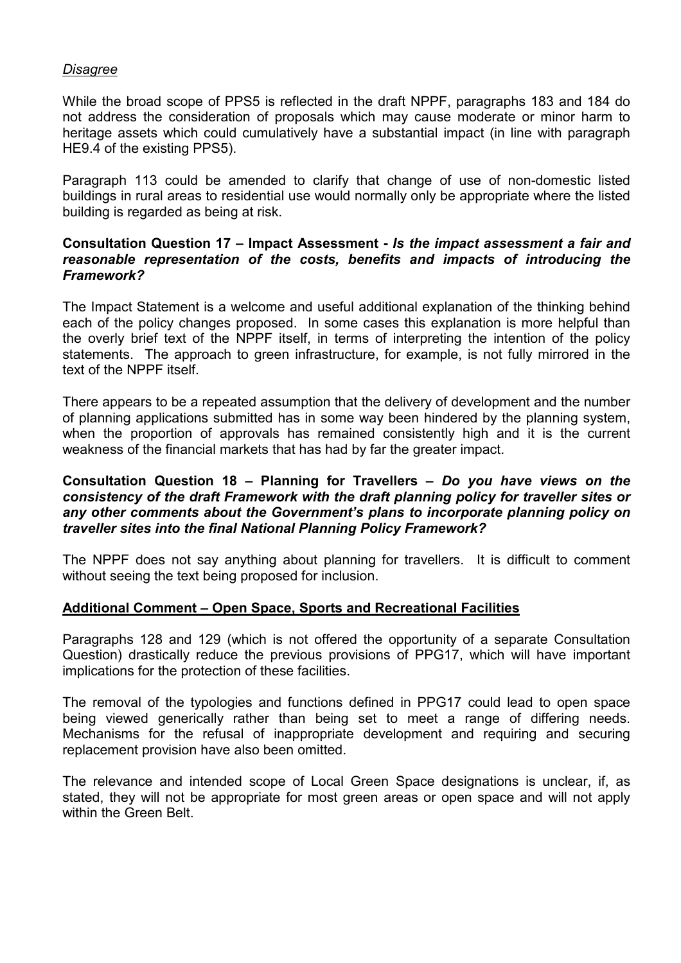### *Disagree*

While the broad scope of PPS5 is reflected in the draft NPPF, paragraphs 183 and 184 do not address the consideration of proposals which may cause moderate or minor harm to heritage assets which could cumulatively have a substantial impact (in line with paragraph HE9.4 of the existing PPS5).

Paragraph 113 could be amended to clarify that change of use of non-domestic listed buildings in rural areas to residential use would normally only be appropriate where the listed building is regarded as being at risk.

#### **Consultation Question 17 – Impact Assessment -** *Is the impact assessment a fair and reasonable representation of the costs, benefits and impacts of introducing the Framework?*

The Impact Statement is a welcome and useful additional explanation of the thinking behind each of the policy changes proposed. In some cases this explanation is more helpful than the overly brief text of the NPPF itself, in terms of interpreting the intention of the policy statements. The approach to green infrastructure, for example, is not fully mirrored in the text of the NPPF itself.

There appears to be a repeated assumption that the delivery of development and the number of planning applications submitted has in some way been hindered by the planning system, when the proportion of approvals has remained consistently high and it is the current weakness of the financial markets that has had by far the greater impact.

#### **Consultation Question 18 – Planning for Travellers –** *Do you have views on the consistency of the draft Framework with the draft planning policy for traveller sites or any other comments about the Government's plans to incorporate planning policy on traveller sites into the final National Planning Policy Framework?*

The NPPF does not say anything about planning for travellers. It is difficult to comment without seeing the text being proposed for inclusion.

#### **Additional Comment – Open Space, Sports and Recreational Facilities**

Paragraphs 128 and 129 (which is not offered the opportunity of a separate Consultation Question) drastically reduce the previous provisions of PPG17, which will have important implications for the protection of these facilities.

The removal of the typologies and functions defined in PPG17 could lead to open space being viewed generically rather than being set to meet a range of differing needs. Mechanisms for the refusal of inappropriate development and requiring and securing replacement provision have also been omitted.

The relevance and intended scope of Local Green Space designations is unclear, if, as stated, they will not be appropriate for most green areas or open space and will not apply within the Green Belt.